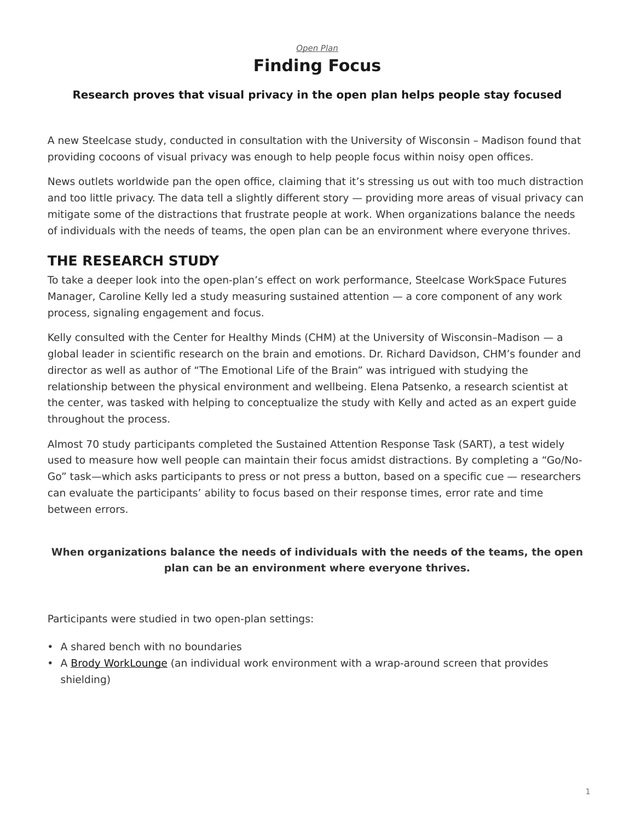### *[Open Plan](https://www.steelcase.com/eu-en/research/topics/open-plan-workplace/)* **Finding Focus**

#### **Research proves that visual privacy in the open plan helps people stay focused**

A new Steelcase study, conducted in consultation with the University of Wisconsin – Madison found that providing cocoons of visual privacy was enough to help people focus within noisy open offices.

News outlets worldwide pan the open office, claiming that it's stressing us out with too much distraction and too little privacy. The data tell a slightly different story — providing more areas of visual privacy can mitigate some of the distractions that frustrate people at work. When organizations balance the needs of individuals with the needs of teams, the open plan can be an environment where everyone thrives.

# **THE RESEARCH STUDY**

To take a deeper look into the open-plan's effect on work performance, Steelcase WorkSpace Futures Manager, Caroline Kelly led a study measuring sustained attention — a core component of any work process, signaling engagement and focus.

Kelly consulted with the Center for Healthy Minds (CHM) at the University of Wisconsin–Madison — a global leader in scientific research on the brain and emotions. Dr. Richard Davidson, CHM's founder and director as well as author of "The Emotional Life of the Brain" was intrigued with studying the relationship between the physical environment and wellbeing. Elena Patsenko, a research scientist at the center, was tasked with helping to conceptualize the study with Kelly and acted as an expert guide throughout the process.

Almost 70 study participants completed the Sustained Attention Response Task (SART), a test widely used to measure how well people can maintain their focus amidst distractions. By completing a "Go/No-Go" task—which asks participants to press or not press a button, based on a specific cue — researchers can evaluate the participants' ability to focus based on their response times, error rate and time between errors.

#### **When organizations balance the needs of individuals with the needs of the teams, the open plan can be an environment where everyone thrives.**

Participants were studied in two open-plan settings:

- A shared bench with no boundaries
- A [Brody WorkLounge](https://www.steelcase.com/eu-en/products/lounge-seating/brody/) (an individual work environment with a wrap-around screen that provides shielding)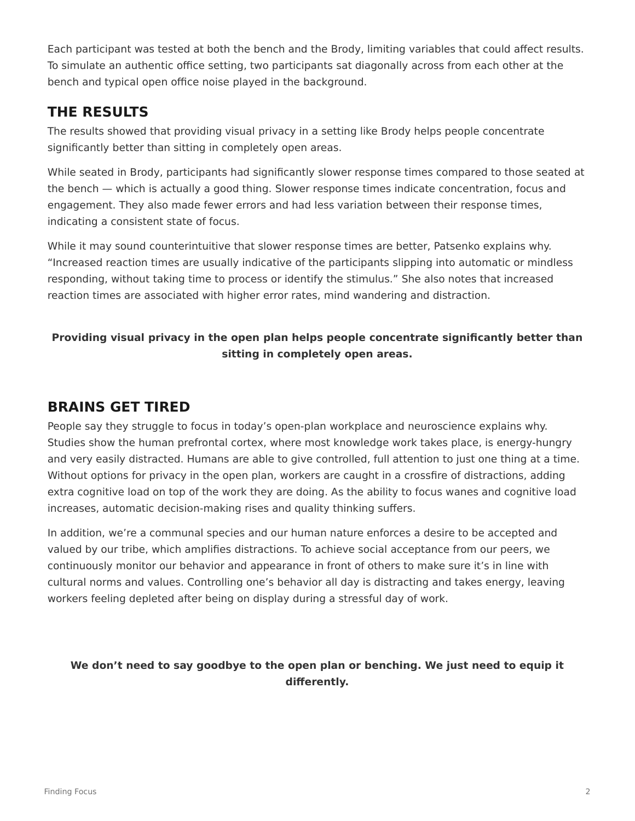Each participant was tested at both the bench and the Brody, limiting variables that could affect results. To simulate an authentic office setting, two participants sat diagonally across from each other at the bench and typical open office noise played in the background.

## **THE RESULTS**

The results showed that providing visual privacy in a setting like Brody helps people concentrate significantly better than sitting in completely open areas.

While seated in Brody, participants had significantly slower response times compared to those seated at the bench — which is actually a good thing. Slower response times indicate concentration, focus and engagement. They also made fewer errors and had less variation between their response times, indicating a consistent state of focus.

While it may sound counterintuitive that slower response times are better, Patsenko explains why. "Increased reaction times are usually indicative of the participants slipping into automatic or mindless responding, without taking time to process or identify the stimulus." She also notes that increased reaction times are associated with higher error rates, mind wandering and distraction.

#### **Providing visual privacy in the open plan helps people concentrate significantly better than sitting in completely open areas.**

## **BRAINS GET TIRED**

People say they struggle to focus in today's open-plan workplace and neuroscience explains why. Studies show the human prefrontal cortex, where most knowledge work takes place, is energy-hungry and very easily distracted. Humans are able to give controlled, full attention to just one thing at a time. Without options for privacy in the open plan, workers are caught in a crossfire of distractions, adding extra cognitive load on top of the work they are doing. As the ability to focus wanes and cognitive load increases, automatic decision-making rises and quality thinking suffers.

In addition, we're a communal species and our human nature enforces a desire to be accepted and valued by our tribe, which amplifies distractions. To achieve social acceptance from our peers, we continuously monitor our behavior and appearance in front of others to make sure it's in line with cultural norms and values. Controlling one's behavior all day is distracting and takes energy, leaving workers feeling depleted after being on display during a stressful day of work.

#### **We don't need to say goodbye to the open plan or benching. We just need to equip it differently.**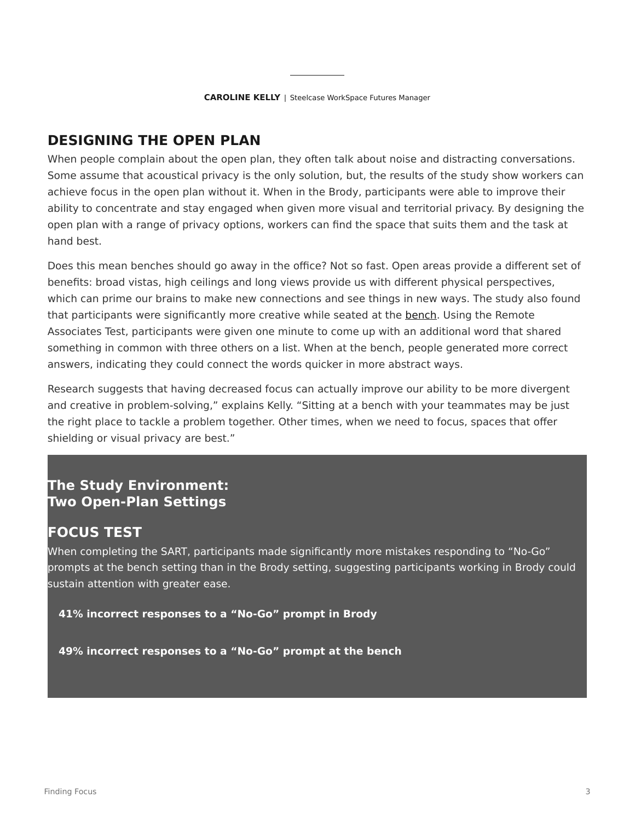# **DESIGNING THE OPEN PLAN**

When people complain about the open plan, they often talk about noise and distracting conversations. Some assume that acoustical privacy is the only solution, but, the results of the study show workers can achieve focus in the open plan without it. When in the Brody, participants were able to improve their ability to concentrate and stay engaged when given more visual and territorial privacy. By designing the open plan with a range of privacy options, workers can find the space that suits them and the task at hand best.

Does this mean benches should go away in the office? Not so fast. Open areas provide a different set of benefits: broad vistas, high ceilings and long views provide us with different physical perspectives, which can prime our brains to make new connections and see things in new ways. The study also found that participants were significantly more creative while seated at the [bench](https://www.steelcase.com/eu-en/products/benching/). Using the Remote Associates Test, participants were given one minute to come up with an additional word that shared something in common with three others on a list. When at the bench, people generated more correct answers, indicating they could connect the words quicker in more abstract ways.

Research suggests that having decreased focus can actually improve our ability to be more divergent and creative in problem-solving," explains Kelly. "Sitting at a bench with your teammates may be just the right place to tackle a problem together. Other times, when we need to focus, spaces that offer shielding or visual privacy are best."

## **The Study Environment: Two Open-Plan Settings**

### **FOCUS TEST**

When completing the SART, participants made significantly more mistakes responding to "No-Go" prompts at the bench setting than in the Brody setting, suggesting participants working in Brody could sustain attention with greater ease.

**41% incorrect responses to a "No-Go" prompt in Brody**

**49% incorrect responses to a "No-Go" prompt at the bench**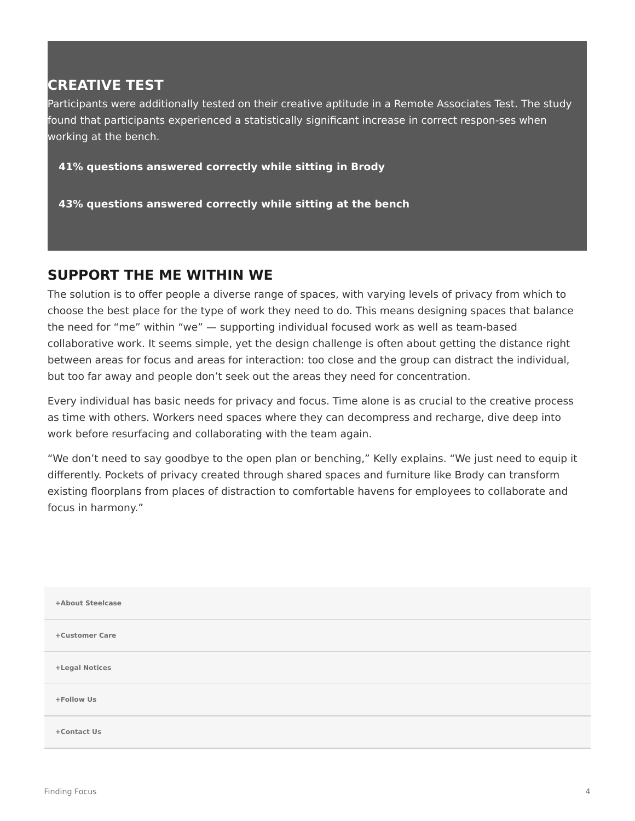# **CREATIVE TEST**

Participants were additionally tested on their creative aptitude in a Remote Associates Test. The study found that participants experienced a statistically significant increase in correct respon-ses when working at the bench.

**41% questions answered correctly while sitting in Brody**

**43% questions answered correctly while sitting at the bench**

### **SUPPORT THE ME WITHIN WE**

The solution is to offer people a diverse range of spaces, with varying levels of privacy from which to choose the best place for the type of work they need to do. This means designing spaces that balance the need for "me" within "we" — supporting individual focused work as well as team-based collaborative work. It seems simple, yet the design challenge is often about getting the distance right between areas for focus and areas for interaction: too close and the group can distract the individual, but too far away and people don't seek out the areas they need for concentration.

Every individual has basic needs for privacy and focus. Time alone is as crucial to the creative process as time with others. Workers need spaces where they can decompress and recharge, dive deep into work before resurfacing and collaborating with the team again.

"We don't need to say goodbye to the open plan or benching," Kelly explains. "We just need to equip it differently. Pockets of privacy created through shared spaces and furniture like Brody can transform existing floorplans from places of distraction to comfortable havens for employees to collaborate and focus in harmony."

| +About Steelcase |
|------------------|
| +Customer Care   |
| +Legal Notices   |
| +Follow Us       |
| +Contact Us      |